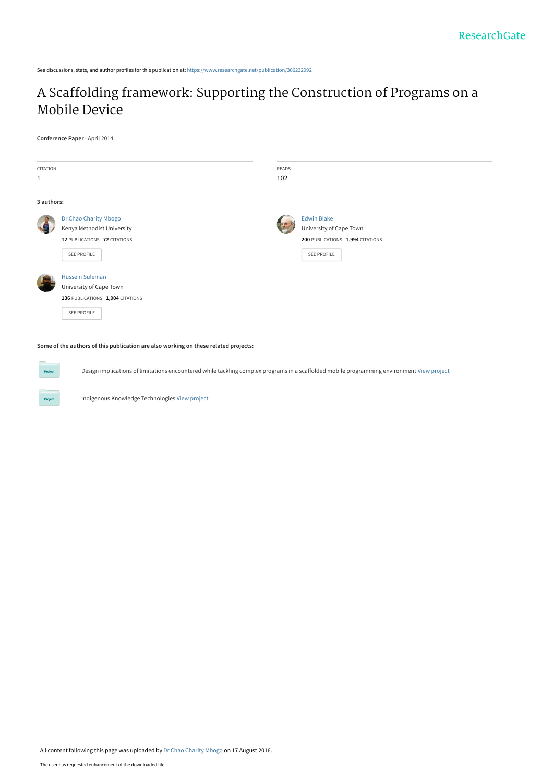See discussions, stats, and author profiles for this publication at: [https://www.researchgate.net/publication/306232992](https://www.researchgate.net/publication/306232992_A_Scaffolding_framework_Supporting_the_Construction_of_Programs_on_a_Mobile_Device?enrichId=rgreq-23fa08eda1debd6a9fa00a1f46987044-XXX&enrichSource=Y292ZXJQYWdlOzMwNjIzMjk5MjtBUzozOTU5NTk2NTQ3MzE3NzZAMTQ3MTQxNTU0NjIzNw%3D%3D&el=1_x_2&_esc=publicationCoverPdf)

# [A Scaffolding framework: Supporting the Construction of Programs on a](https://www.researchgate.net/publication/306232992_A_Scaffolding_framework_Supporting_the_Construction_of_Programs_on_a_Mobile_Device?enrichId=rgreq-23fa08eda1debd6a9fa00a1f46987044-XXX&enrichSource=Y292ZXJQYWdlOzMwNjIzMjk5MjtBUzozOTU5NTk2NTQ3MzE3NzZAMTQ3MTQxNTU0NjIzNw%3D%3D&el=1_x_3&_esc=publicationCoverPdf) Mobile Device

**Conference Paper** · April 2014

**Project** 

| CITATION<br>$\mathbf{1}$ |                                                                                                      | READS<br>102 |                                                                                                  |
|--------------------------|------------------------------------------------------------------------------------------------------|--------------|--------------------------------------------------------------------------------------------------|
| 3 authors:               |                                                                                                      |              |                                                                                                  |
|                          | Dr Chao Charity Mbogo<br>Kenya Methodist University<br>12 PUBLICATIONS 72 CITATIONS<br>SEE PROFILE   |              | <b>Edwin Blake</b><br>University of Cape Town<br>200 PUBLICATIONS 1,994 CITATIONS<br>SEE PROFILE |
|                          | <b>Hussein Suleman</b><br>University of Cape Town<br>136 PUBLICATIONS 1,004 CITATIONS<br>SEE PROFILE |              |                                                                                                  |

**Some of the authors of this publication are also working on these related projects:**

Design implications of limitations encountered while tackling complex programs in a scaffolded mobile programming environment [View project](https://www.researchgate.net/project/Design-implications-of-limitations-encountered-while-tackling-complex-programs-in-a-scaffolded-mobile-programming-environment?enrichId=rgreq-23fa08eda1debd6a9fa00a1f46987044-XXX&enrichSource=Y292ZXJQYWdlOzMwNjIzMjk5MjtBUzozOTU5NTk2NTQ3MzE3NzZAMTQ3MTQxNTU0NjIzNw%3D%3D&el=1_x_9&_esc=publicationCoverPdf)

Indigenous Knowledge Technologies [View project](https://www.researchgate.net/project/Indigenous-Knowledge-Technologies?enrichId=rgreq-23fa08eda1debd6a9fa00a1f46987044-XXX&enrichSource=Y292ZXJQYWdlOzMwNjIzMjk5MjtBUzozOTU5NTk2NTQ3MzE3NzZAMTQ3MTQxNTU0NjIzNw%3D%3D&el=1_x_9&_esc=publicationCoverPdf)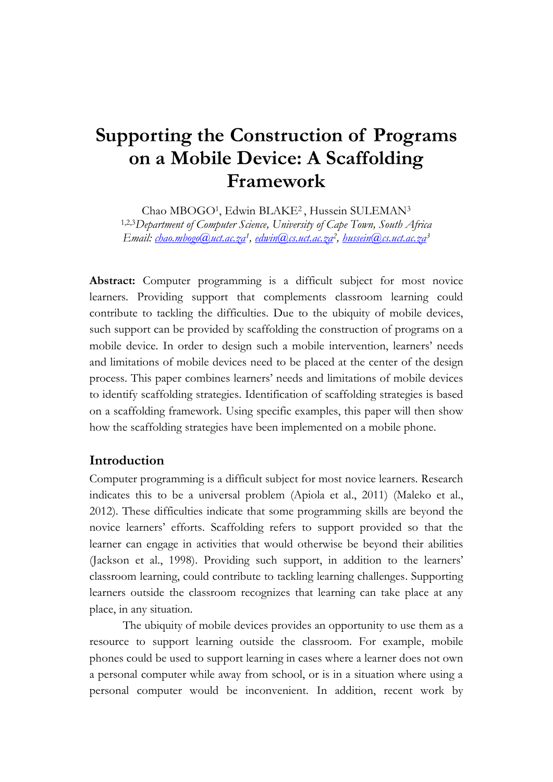# **Supporting the Construction of Programs on a Mobile Device: A Scaffolding Framework**

Chao MBOGO<sup>1</sup>, Edwin BLAKE<sup>2</sup>, Hussein SULEMAN<sup>3</sup> 1,2,3*Department of Computer Science, University of Cape Town, South Africa Email: [chao.mbogo@uct.ac.za](mailto:chao.mbogo@uct.ac.za)<sup>1</sup> , [edwin@cs.uct.ac.za](mailto:edwin@cs.uct.ac.za)<sup>2</sup> , [hussein@cs.uct.ac.za](mailto:hussein@cs.uct.ac.za)<sup>3</sup>*

**Abstract:** Computer programming is a difficult subject for most novice learners. Providing support that complements classroom learning could contribute to tackling the difficulties. Due to the ubiquity of mobile devices, such support can be provided by scaffolding the construction of programs on a mobile device. In order to design such a mobile intervention, learners' needs and limitations of mobile devices need to be placed at the center of the design process. This paper combines learners' needs and limitations of mobile devices to identify scaffolding strategies. Identification of scaffolding strategies is based on a scaffolding framework. Using specific examples, this paper will then show how the scaffolding strategies have been implemented on a mobile phone.

### **Introduction**

Computer programming is a difficult subject for most novice learners. Research indicates this to be a universal problem (Apiola et al., 2011) (Maleko et al., 2012). These difficulties indicate that some programming skills are beyond the novice learners' efforts. Scaffolding refers to support provided so that the learner can engage in activities that would otherwise be beyond their abilities (Jackson et al., 1998). Providing such support, in addition to the learners' classroom learning, could contribute to tackling learning challenges. Supporting learners outside the classroom recognizes that learning can take place at any place, in any situation.

The ubiquity of mobile devices provides an opportunity to use them as a resource to support learning outside the classroom. For example, mobile phones could be used to support learning in cases where a learner does not own a personal computer while away from school, or is in a situation where using a personal computer would be inconvenient. In addition, recent work by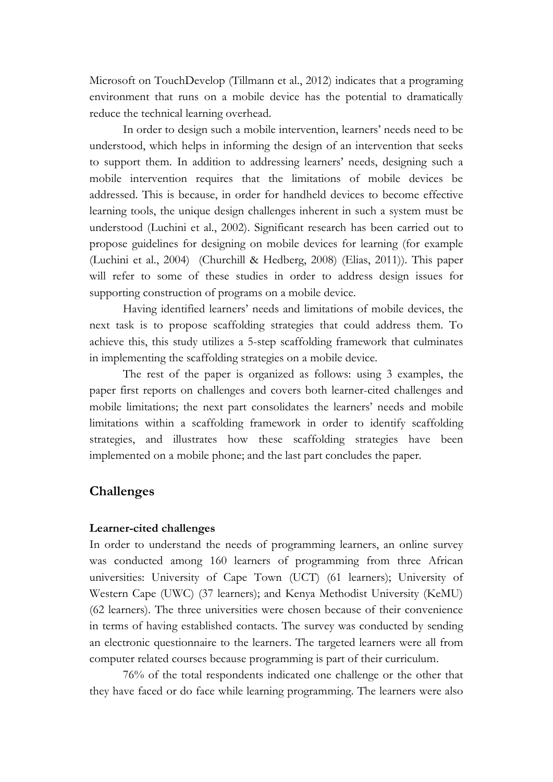Microsoft on TouchDevelop (Tillmann et al., 2012) indicates that a programing environment that runs on a mobile device has the potential to dramatically reduce the technical learning overhead.

In order to design such a mobile intervention, learners' needs need to be understood, which helps in informing the design of an intervention that seeks to support them. In addition to addressing learners' needs, designing such a mobile intervention requires that the limitations of mobile devices be addressed. This is because, in order for handheld devices to become effective learning tools, the unique design challenges inherent in such a system must be understood (Luchini et al., 2002). Significant research has been carried out to propose guidelines for designing on mobile devices for learning (for example (Luchini et al., 2004) (Churchill & Hedberg, 2008) (Elias, 2011)). This paper will refer to some of these studies in order to address design issues for supporting construction of programs on a mobile device.

Having identified learners' needs and limitations of mobile devices, the next task is to propose scaffolding strategies that could address them. To achieve this, this study utilizes a 5-step scaffolding framework that culminates in implementing the scaffolding strategies on a mobile device.

The rest of the paper is organized as follows: using 3 examples, the paper first reports on challenges and covers both learner-cited challenges and mobile limitations; the next part consolidates the learners' needs and mobile limitations within a scaffolding framework in order to identify scaffolding strategies, and illustrates how these scaffolding strategies have been implemented on a mobile phone; and the last part concludes the paper.

### **Challenges**

#### **Learner-cited challenges**

In order to understand the needs of programming learners, an online survey was conducted among 160 learners of programming from three African universities: University of Cape Town (UCT) (61 learners); University of Western Cape (UWC) (37 learners); and Kenya Methodist University (KeMU) (62 learners). The three universities were chosen because of their convenience in terms of having established contacts. The survey was conducted by sending an electronic questionnaire to the learners. The targeted learners were all from computer related courses because programming is part of their curriculum.

76% of the total respondents indicated one challenge or the other that they have faced or do face while learning programming. The learners were also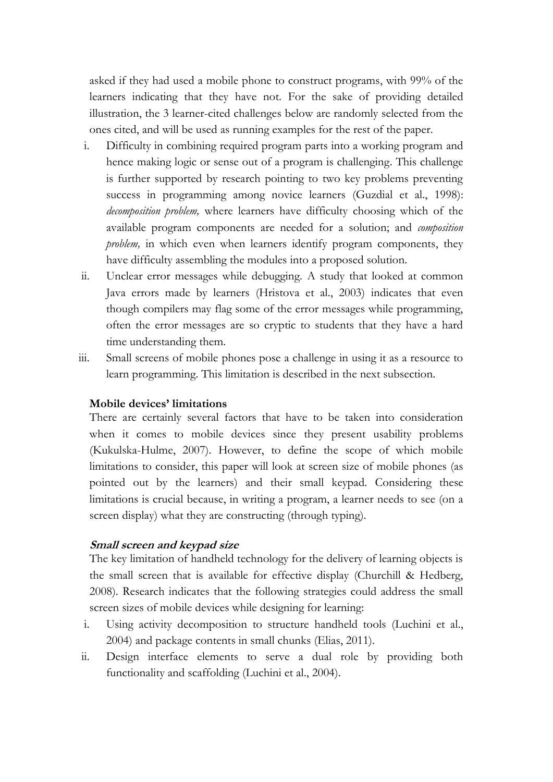asked if they had used a mobile phone to construct programs, with 99% of the learners indicating that they have not. For the sake of providing detailed illustration, the 3 learner-cited challenges below are randomly selected from the ones cited, and will be used as running examples for the rest of the paper.

- i. Difficulty in combining required program parts into a working program and hence making logic or sense out of a program is challenging. This challenge is further supported by research pointing to two key problems preventing success in programming among novice learners (Guzdial et al., 1998): *decomposition problem,* where learners have difficulty choosing which of the available program components are needed for a solution; and *composition problem*, in which even when learners identify program components, they have difficulty assembling the modules into a proposed solution.
- ii. Unclear error messages while debugging. A study that looked at common Java errors made by learners (Hristova et al., 2003) indicates that even though compilers may flag some of the error messages while programming, often the error messages are so cryptic to students that they have a hard time understanding them.
- iii. Small screens of mobile phones pose a challenge in using it as a resource to learn programming. This limitation is described in the next subsection.

#### **Mobile devices' limitations**

There are certainly several factors that have to be taken into consideration when it comes to mobile devices since they present usability problems (Kukulska-Hulme, 2007). However, to define the scope of which mobile limitations to consider, this paper will look at screen size of mobile phones (as pointed out by the learners) and their small keypad. Considering these limitations is crucial because, in writing a program, a learner needs to see (on a screen display) what they are constructing (through typing).

#### **Small screen and keypad size**

The key limitation of handheld technology for the delivery of learning objects is the small screen that is available for effective display (Churchill & Hedberg, 2008). Research indicates that the following strategies could address the small screen sizes of mobile devices while designing for learning:

- i. Using activity decomposition to structure handheld tools (Luchini et al., 2004) and package contents in small chunks (Elias, 2011).
- ii. Design interface elements to serve a dual role by providing both functionality and scaffolding (Luchini et al., 2004).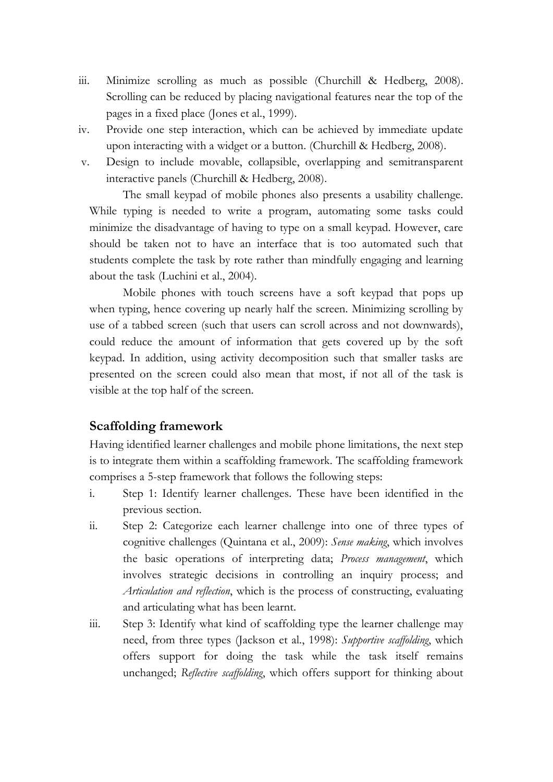- iii. Minimize scrolling as much as possible (Churchill & Hedberg, 2008). Scrolling can be reduced by placing navigational features near the top of the pages in a fixed place (Jones et al., 1999).
- iv. Provide one step interaction, which can be achieved by immediate update upon interacting with a widget or a button. (Churchill & Hedberg, 2008).
- v. Design to include movable, collapsible, overlapping and semitransparent interactive panels (Churchill & Hedberg, 2008).

The small keypad of mobile phones also presents a usability challenge. While typing is needed to write a program, automating some tasks could minimize the disadvantage of having to type on a small keypad. However, care should be taken not to have an interface that is too automated such that students complete the task by rote rather than mindfully engaging and learning about the task (Luchini et al., 2004).

Mobile phones with touch screens have a soft keypad that pops up when typing, hence covering up nearly half the screen. Minimizing scrolling by use of a tabbed screen (such that users can scroll across and not downwards), could reduce the amount of information that gets covered up by the soft keypad. In addition, using activity decomposition such that smaller tasks are presented on the screen could also mean that most, if not all of the task is visible at the top half of the screen.

### **Scaffolding framework**

Having identified learner challenges and mobile phone limitations, the next step is to integrate them within a scaffolding framework. The scaffolding framework comprises a 5-step framework that follows the following steps:

- i. Step 1: Identify learner challenges. These have been identified in the previous section.
- ii. Step 2: Categorize each learner challenge into one of three types of cognitive challenges (Quintana et al., 2009): *Sense making*, which involves the basic operations of interpreting data; *Process management*, which involves strategic decisions in controlling an inquiry process; and *Articulation and reflection*, which is the process of constructing, evaluating and articulating what has been learnt.
- iii. Step 3: Identify what kind of scaffolding type the learner challenge may need, from three types (Jackson et al., 1998): *Supportive scaffolding*, which offers support for doing the task while the task itself remains unchanged; *Reflective scaffolding*, which offers support for thinking about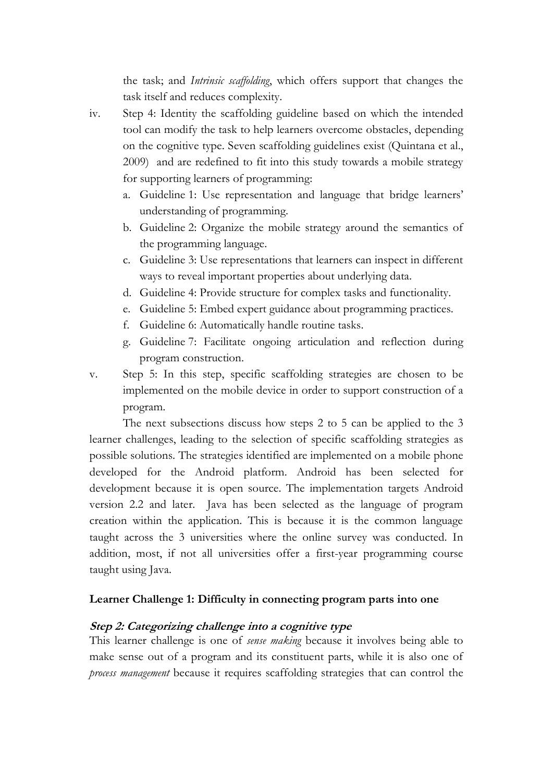the task; and *Intrinsic scaffolding*, which offers support that changes the task itself and reduces complexity.

- iv. Step 4: Identity the scaffolding guideline based on which the intended tool can modify the task to help learners overcome obstacles, depending on the cognitive type. Seven scaffolding guidelines exist (Quintana et al., 2009) and are redefined to fit into this study towards a mobile strategy for supporting learners of programming:
	- a. Guideline 1: Use representation and language that bridge learners' understanding of programming.
	- b. Guideline 2: Organize the mobile strategy around the semantics of the programming language.
	- c. Guideline 3: Use representations that learners can inspect in different ways to reveal important properties about underlying data.
	- d. Guideline 4: Provide structure for complex tasks and functionality.
	- e. Guideline 5: Embed expert guidance about programming practices.
	- f. Guideline 6: Automatically handle routine tasks.
	- g. Guideline 7: Facilitate ongoing articulation and reflection during program construction.
- v. Step 5: In this step, specific scaffolding strategies are chosen to be implemented on the mobile device in order to support construction of a program.

The next subsections discuss how steps 2 to 5 can be applied to the 3 learner challenges, leading to the selection of specific scaffolding strategies as possible solutions. The strategies identified are implemented on a mobile phone developed for the Android platform. Android has been selected for development because it is open source. The implementation targets Android version 2.2 and later. Java has been selected as the language of program creation within the application. This is because it is the common language taught across the 3 universities where the online survey was conducted. In addition, most, if not all universities offer a first-year programming course taught using Java.

### **Learner Challenge 1: Difficulty in connecting program parts into one**

#### **Step 2: Categorizing challenge into a cognitive type**

This learner challenge is one of *sense making* because it involves being able to make sense out of a program and its constituent parts, while it is also one of *process management* because it requires scaffolding strategies that can control the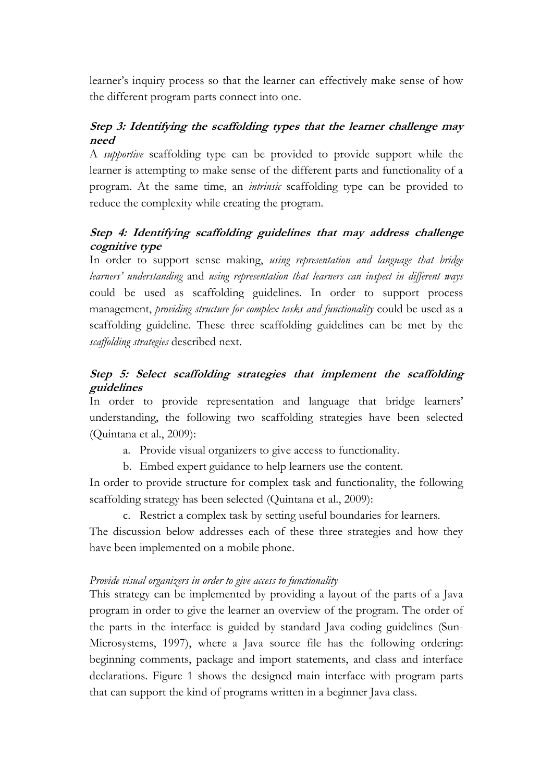learner's inquiry process so that the learner can effectively make sense of how the different program parts connect into one.

### **Step 3: Identifying the scaffolding types that the learner challenge may need**

A *supportive* scaffolding type can be provided to provide support while the learner is attempting to make sense of the different parts and functionality of a program. At the same time, an *intrinsic* scaffolding type can be provided to reduce the complexity while creating the program.

### **Step 4: Identifying scaffolding guidelines that may address challenge cognitive type**

In order to support sense making, *using representation and language that bridge learners' understanding* and *using representation that learners can inspect in different ways* could be used as scaffolding guidelines*.* In order to support process management, *providing structure for complex tasks and functionality* could be used as a scaffolding guideline. These three scaffolding guidelines can be met by the *scaffolding strategies* described next.

# **Step 5: Select scaffolding strategies that implement the scaffolding guidelines**

In order to provide representation and language that bridge learners' understanding, the following two scaffolding strategies have been selected (Quintana et al., 2009):

a. Provide visual organizers to give access to functionality.

b. Embed expert guidance to help learners use the content.

In order to provide structure for complex task and functionality, the following scaffolding strategy has been selected (Quintana et al., 2009):

c. Restrict a complex task by setting useful boundaries for learners.

The discussion below addresses each of these three strategies and how they have been implemented on a mobile phone.

### *Provide visual organizers in order to give access to functionality*

This strategy can be implemented by providing a layout of the parts of a Java program in order to give the learner an overview of the program. The order of the parts in the interface is guided by standard Java coding guidelines (Sun-Microsystems, 1997), where a Java source file has the following ordering: beginning comments, package and import statements, and class and interface declarations. Figure 1 shows the designed main interface with program parts that can support the kind of programs written in a beginner Java class.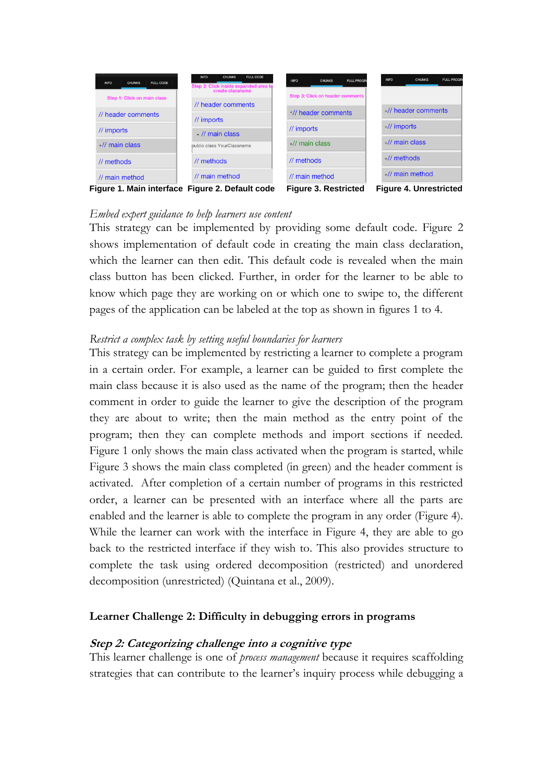

#### *Embed expert guidance to help learners use content*

This strategy can be implemented by providing some default code. Figure 2 shows implementation of default code in creating the main class declaration, which the learner can then edit. This default code is revealed when the main class button has been clicked. Further, in order for the learner to be able to know which page they are working on or which one to swipe to, the different pages of the application can be labeled at the top as shown in figures 1 to 4.

#### *Restrict a complex task by setting useful boundaries for learners*

This strategy can be implemented by restricting a learner to complete a program in a certain order. For example, a learner can be guided to first complete the main class because it is also used as the name of the program; then the header comment in order to guide the learner to give the description of the program they are about to write; then the main method as the entry point of the program; then they can complete methods and import sections if needed. Figure 1 only shows the main class activated when the program is started, while Figure 3 shows the main class completed (in green) and the header comment is activated. After completion of a certain number of programs in this restricted order, a learner can be presented with an interface where all the parts are enabled and the learner is able to complete the program in any order (Figure 4). While the learner can work with the interface in Figure 4, they are able to go back to the restricted interface if they wish to. This also provides structure to complete the task using ordered decomposition (restricted) and unordered decomposition (unrestricted) (Quintana et al., 2009).

### **Learner Challenge 2: Difficulty in debugging errors in programs**

#### **Step 2: Categorizing challenge into a cognitive type**

This learner challenge is one of *process management* because it requires scaffolding strategies that can contribute to the learner's inquiry process while debugging a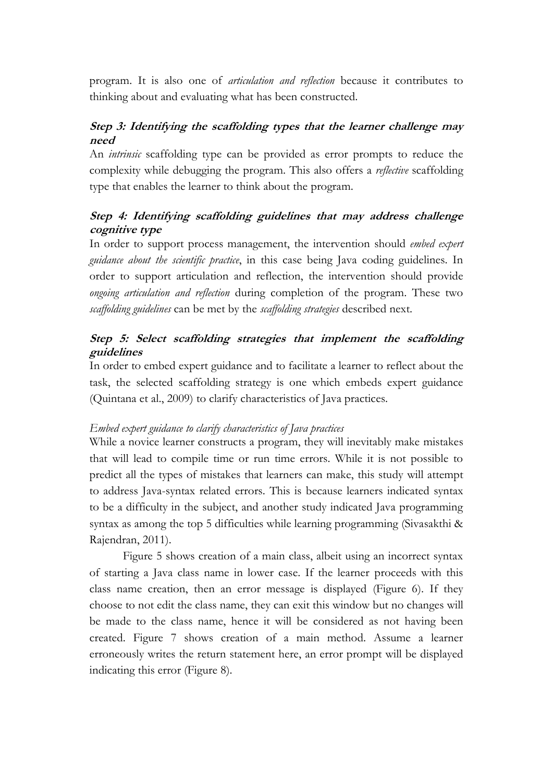program. It is also one of *articulation and reflection* because it contributes to thinking about and evaluating what has been constructed.

# **Step 3: Identifying the scaffolding types that the learner challenge may need**

An *intrinsic* scaffolding type can be provided as error prompts to reduce the complexity while debugging the program. This also offers a *reflective* scaffolding type that enables the learner to think about the program.

# **Step 4: Identifying scaffolding guidelines that may address challenge cognitive type**

In order to support process management, the intervention should *embed expert guidance about the scientific practice*, in this case being Java coding guidelines. In order to support articulation and reflection, the intervention should provide *ongoing articulation and reflection* during completion of the program. These two *scaffolding guidelines* can be met by the *scaffolding strategies* described next.

# **Step 5: Select scaffolding strategies that implement the scaffolding guidelines**

In order to embed expert guidance and to facilitate a learner to reflect about the task, the selected scaffolding strategy is one which embeds expert guidance (Quintana et al., 2009) to clarify characteristics of Java practices.

### *Embed expert guidance to clarify characteristics of Java practices*

While a novice learner constructs a program, they will inevitably make mistakes that will lead to compile time or run time errors. While it is not possible to predict all the types of mistakes that learners can make, this study will attempt to address Java-syntax related errors. This is because learners indicated syntax to be a difficulty in the subject, and another study indicated Java programming syntax as among the top 5 difficulties while learning programming (Sivasakthi & Rajendran, 2011).

Figure 5 shows creation of a main class, albeit using an incorrect syntax of starting a Java class name in lower case. If the learner proceeds with this class name creation, then an error message is displayed (Figure 6). If they choose to not edit the class name, they can exit this window but no changes will be made to the class name, hence it will be considered as not having been created. Figure 7 shows creation of a main method. Assume a learner erroneously writes the return statement here, an error prompt will be displayed indicating this error (Figure 8).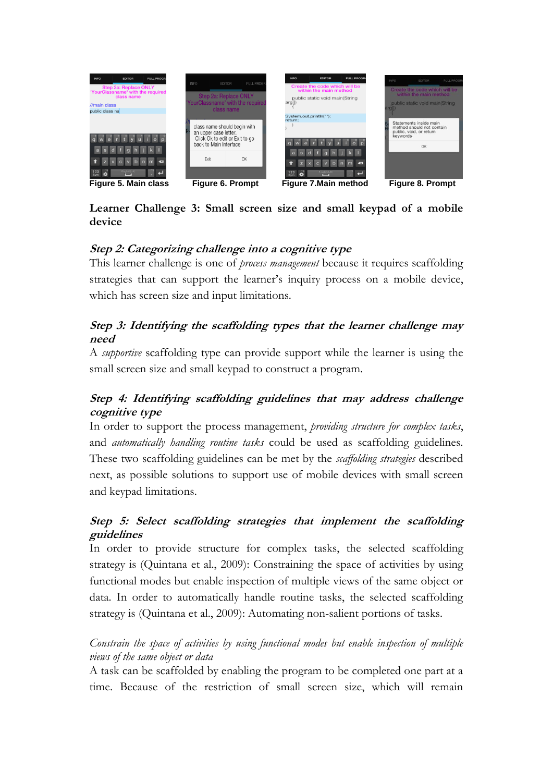

### **Learner Challenge 3: Small screen size and small keypad of a mobile device**

# **Step 2: Categorizing challenge into a cognitive type**

This learner challenge is one of *process management* because it requires scaffolding strategies that can support the learner's inquiry process on a mobile device, which has screen size and input limitations.

# **Step 3: Identifying the scaffolding types that the learner challenge may need**

A *supportive* scaffolding type can provide support while the learner is using the small screen size and small keypad to construct a program.

# **Step 4: Identifying scaffolding guidelines that may address challenge cognitive type**

In order to support the process management, *providing structure for complex tasks*, and *automatically handling routine tasks* could be used as scaffolding guidelines*.*  These two scaffolding guidelines can be met by the *scaffolding strategies* described next, as possible solutions to support use of mobile devices with small screen and keypad limitations.

# **Step 5: Select scaffolding strategies that implement the scaffolding guidelines**

In order to provide structure for complex tasks, the selected scaffolding strategy is (Quintana et al., 2009): Constraining the space of activities by using functional modes but enable inspection of multiple views of the same object or data. In order to automatically handle routine tasks, the selected scaffolding strategy is (Quintana et al., 2009): Automating non-salient portions of tasks.

### *Constrain the space of activities by using functional modes but enable inspection of multiple views of the same object or data*

A task can be scaffolded by enabling the program to be completed one part at a time. Because of the restriction of small screen size, which will remain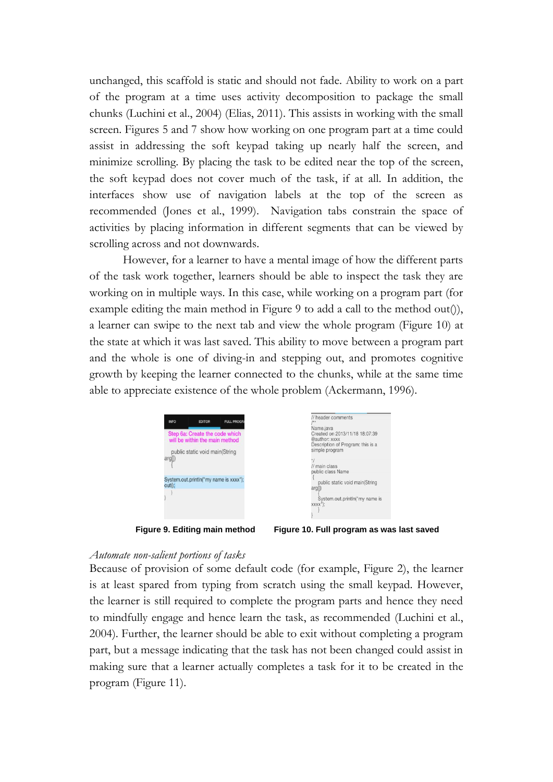unchanged, this scaffold is static and should not fade. Ability to work on a part of the program at a time uses activity decomposition to package the small chunks (Luchini et al., 2004) (Elias, 2011). This assists in working with the small screen. Figures 5 and 7 show how working on one program part at a time could assist in addressing the soft keypad taking up nearly half the screen, and minimize scrolling. By placing the task to be edited near the top of the screen, the soft keypad does not cover much of the task, if at all. In addition, the interfaces show use of navigation labels at the top of the screen as recommended (Jones et al., 1999). Navigation tabs constrain the space of activities by placing information in different segments that can be viewed by scrolling across and not downwards.

However, for a learner to have a mental image of how the different parts of the task work together, learners should be able to inspect the task they are working on in multiple ways. In this case, while working on a program part (for example editing the main method in Figure 9 to add a call to the method out()), a learner can swipe to the next tab and view the whole program (Figure 10) at the state at which it was last saved. This ability to move between a program part and the whole is one of diving-in and stepping out, and promotes cognitive growth by keeping the learner connected to the chunks, while at the same time able to appreciate existence of the whole problem (Ackermann, 1996).

| <b>INFO</b> | <b>EDITOR</b>                                                    | <b>FULL PROGRA</b> | // header comments                                                                                |
|-------------|------------------------------------------------------------------|--------------------|---------------------------------------------------------------------------------------------------|
|             | Step 6a: Create the code which<br>will be within the main method |                    | Name.java<br>Created on 2013/11/18 18:07:39<br>@author: xxxx<br>Description of Program: this is a |
| arg         | public static void main(String                                   |                    | simple program<br>// main class<br>public class Name                                              |
| $out()$ :   | System.out.println("my name is xxxx");                           |                    | public static void main(String<br>arg<br>System.out.println("my name is<br>XXXX");                |



#### *Automate non-salient portions of tasks*

Because of provision of some default code (for example, Figure 2), the learner is at least spared from typing from scratch using the small keypad. However, the learner is still required to complete the program parts and hence they need to mindfully engage and hence learn the task, as recommended (Luchini et al., 2004). Further, the learner should be able to exit without completing a program part, but a message indicating that the task has not been changed could assist in making sure that a learner actually completes a task for it to be created in the program (Figure 11).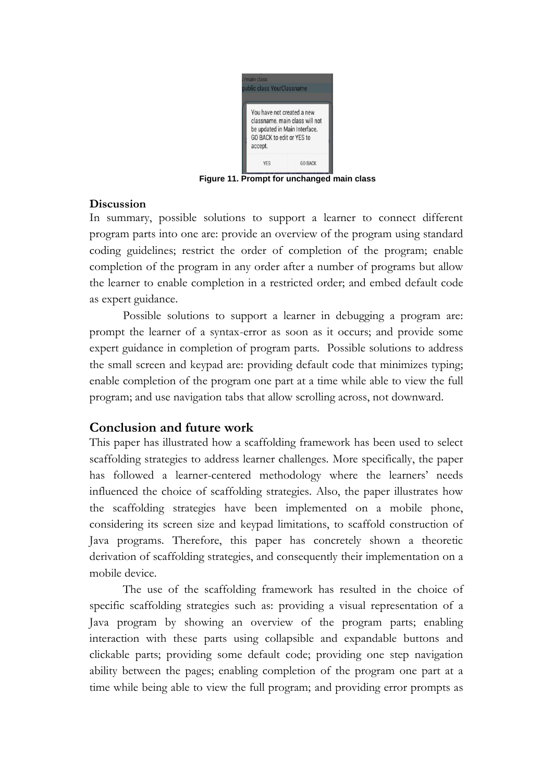

**Figure 11. Prompt for unchanged main class**

### **Discussion**

In summary, possible solutions to support a learner to connect different program parts into one are: provide an overview of the program using standard coding guidelines; restrict the order of completion of the program; enable completion of the program in any order after a number of programs but allow the learner to enable completion in a restricted order; and embed default code as expert guidance.

Possible solutions to support a learner in debugging a program are: prompt the learner of a syntax-error as soon as it occurs; and provide some expert guidance in completion of program parts. Possible solutions to address the small screen and keypad are: providing default code that minimizes typing; enable completion of the program one part at a time while able to view the full program; and use navigation tabs that allow scrolling across, not downward.

# **Conclusion and future work**

This paper has illustrated how a scaffolding framework has been used to select scaffolding strategies to address learner challenges. More specifically, the paper has followed a learner-centered methodology where the learners' needs influenced the choice of scaffolding strategies. Also, the paper illustrates how the scaffolding strategies have been implemented on a mobile phone, considering its screen size and keypad limitations, to scaffold construction of Java programs. Therefore, this paper has concretely shown a theoretic derivation of scaffolding strategies, and consequently their implementation on a mobile device.

The use of the scaffolding framework has resulted in the choice of specific scaffolding strategies such as: providing a visual representation of a Java program by showing an overview of the program parts; enabling interaction with these parts using collapsible and expandable buttons and clickable parts; providing some default code; providing one step navigation ability between the pages; enabling completion of the program one part at a time while being able to view the full program; and providing error prompts as